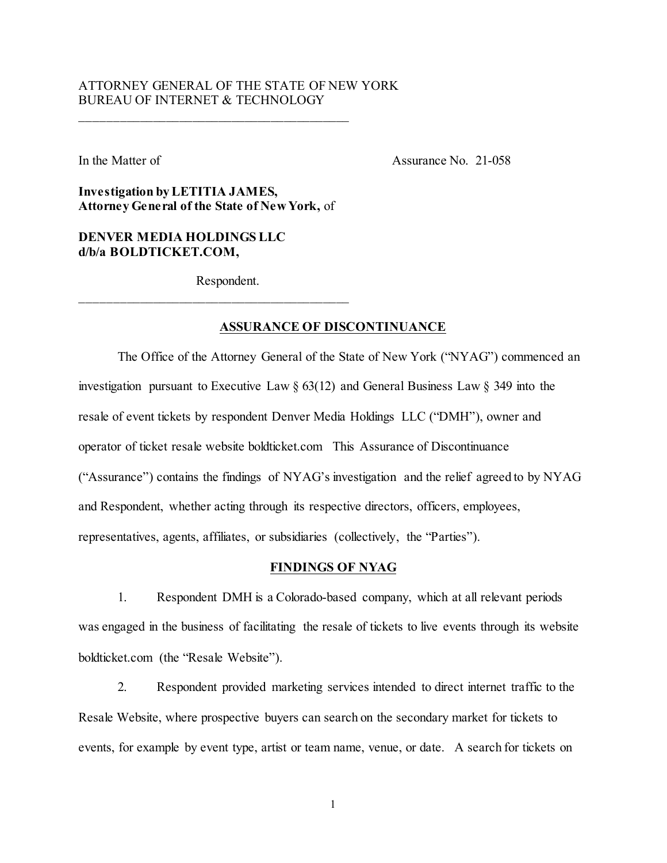# ATTORNEY GENERAL OF THE STATE OF NEW YORK BUREAU OF INTERNET & TECHNOLOGY

In the Matter of Assurance No. 21-058

**Investigation by LETITIA JAMES, Attorney General of the State of New York,** of

\_\_\_\_\_\_\_\_\_\_\_\_\_\_\_\_\_\_\_\_\_\_\_\_\_\_\_\_\_\_\_\_\_\_\_\_\_\_\_\_\_

# **DENVER MEDIA HOLDINGS LLC d/b/a BOLDTICKET.COM,**

Respondent.

\_\_\_\_\_\_\_\_\_\_\_\_\_\_\_\_\_\_\_\_\_\_\_\_\_\_\_\_\_\_\_\_\_\_\_\_\_\_\_\_\_

# **ASSURANCE OF DISCONTINUANCE**

The Office of the Attorney General of the State of New York ("NYAG") commenced an investigation pursuant to Executive Law § 63(12) and General Business Law § 349 into the resale of event tickets by respondent Denver Media Holdings LLC ("DMH"), owner and operator of ticket resale website boldticket.com This Assurance of Discontinuance ("Assurance") contains the findings of NYAG's investigation and the relief agreed to by NYAG and Respondent, whether acting through its respective directors, officers, employees, representatives, agents, affiliates, or subsidiaries (collectively, the "Parties").

#### **FINDINGS OF NYAG**

1. Respondent DMH is a Colorado-based company, which at all relevant periods was engaged in the business of facilitating the resale of tickets to live events through its website boldticket.com (the "Resale Website").

2. Respondent provided marketing services intended to direct internet traffic to the Resale Website, where prospective buyers can search on the secondary market for tickets to events, for example by event type, artist or team name, venue, or date. A search for tickets on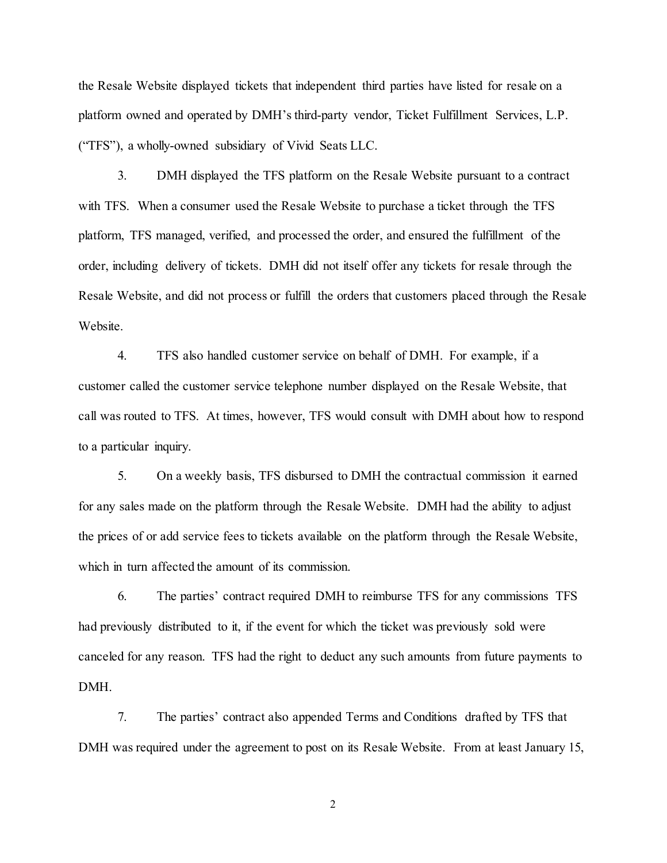the Resale Website displayed tickets that independent third parties have listed for resale on a platform owned and operated by DMH's third-party vendor, Ticket Fulfillment Services, L.P. ("TFS"), a wholly-owned subsidiary of Vivid Seats LLC.

3. DMH displayed the TFS platform on the Resale Website pursuant to a contract with TFS. When a consumer used the Resale Website to purchase a ticket through the TFS platform, TFS managed, verified, and processed the order, and ensured the fulfillment of the order, including delivery of tickets. DMH did not itself offer any tickets for resale through the Resale Website, and did not process or fulfill the orders that customers placed through the Resale Website.

4. TFS also handled customer service on behalf of DMH. For example, if a customer called the customer service telephone number displayed on the Resale Website, that call was routed to TFS. At times, however, TFS would consult with DMH about how to respond to a particular inquiry.

5. On a weekly basis, TFS disbursed to DMH the contractual commission it earned for any sales made on the platform through the Resale Website. DMH had the ability to adjust the prices of or add service fees to tickets available on the platform through the Resale Website, which in turn affected the amount of its commission.

6. The parties' contract required DMH to reimburse TFS for any commissions TFS had previously distributed to it, if the event for which the ticket was previously sold were canceled for any reason. TFS had the right to deduct any such amounts from future payments to DMH.

7. The parties' contract also appended Terms and Conditions drafted by TFS that DMH was required under the agreement to post on its Resale Website. From at least January 15,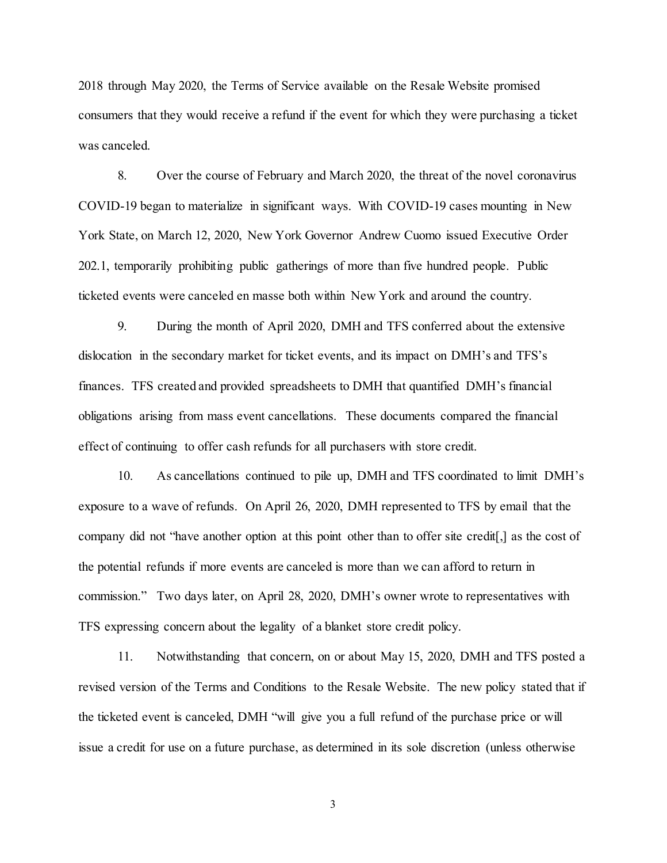2018 through May 2020, the Terms of Service available on the Resale Website promised consumers that they would receive a refund if the event for which they were purchasing a ticket was canceled.

8. Over the course of February and March 2020, the threat of the novel coronavirus COVID-19 began to materialize in significant ways. With COVID-19 cases mounting in New York State, on March 12, 2020, New York Governor Andrew Cuomo issued Executive Order 202.1, temporarily prohibiting public gatherings of more than five hundred people. Public ticketed events were canceled en masse both within New York and around the country.

9. During the month of April 2020, DMH and TFS conferred about the extensive dislocation in the secondary market for ticket events, and its impact on DMH's and TFS's finances. TFS created and provided spreadsheets to DMH that quantified DMH's financial obligations arising from mass event cancellations. These documents compared the financial effect of continuing to offer cash refunds for all purchasers with store credit.

10. As cancellations continued to pile up, DMH and TFS coordinated to limit DMH's exposure to a wave of refunds. On April 26, 2020, DMH represented to TFS by email that the company did not "have another option at this point other than to offer site credit[,] as the cost of the potential refunds if more events are canceled is more than we can afford to return in commission." Two days later, on April 28, 2020, DMH's owner wrote to representatives with TFS expressing concern about the legality of a blanket store credit policy.

11. Notwithstanding that concern, on or about May 15, 2020, DMH and TFS posted a revised version of the Terms and Conditions to the Resale Website. The new policy stated that if the ticketed event is canceled, DMH "will give you a full refund of the purchase price or will issue a credit for use on a future purchase, as determined in its sole discretion (unless otherwise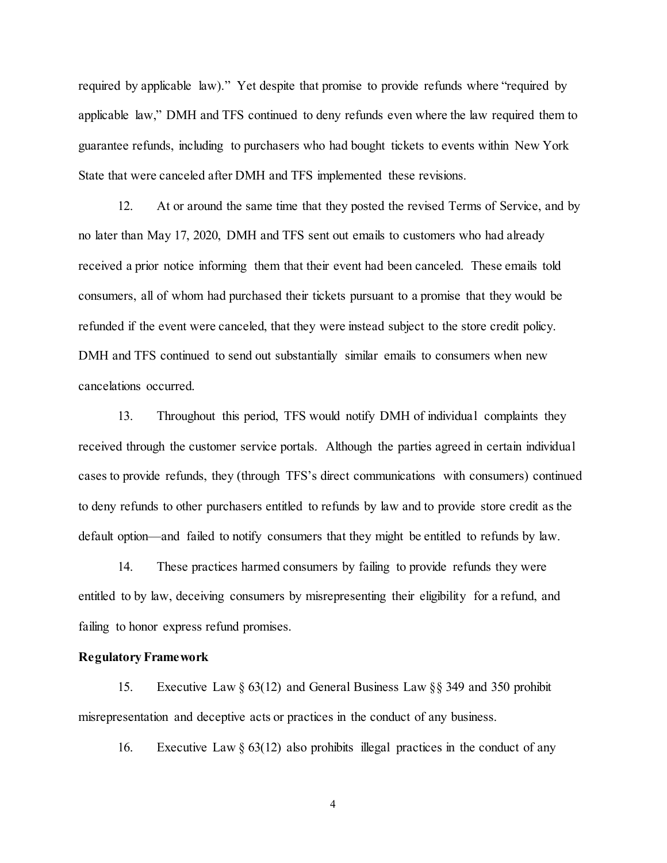required by applicable law)." Yet despite that promise to provide refunds where "required by applicable law," DMH and TFS continued to deny refunds even where the law required them to guarantee refunds, including to purchasers who had bought tickets to events within New York State that were canceled after DMH and TFS implemented these revisions.

12. At or around the same time that they posted the revised Terms of Service, and by no later than May 17, 2020, DMH and TFS sent out emails to customers who had already received a prior notice informing them that their event had been canceled. These emails told consumers, all of whom had purchased their tickets pursuant to a promise that they would be refunded if the event were canceled, that they were instead subject to the store credit policy. DMH and TFS continued to send out substantially similar emails to consumers when new cancelations occurred.

13. Throughout this period, TFS would notify DMH of individual complaints they received through the customer service portals. Although the parties agreed in certain individual cases to provide refunds, they (through TFS's direct communications with consumers) continued to deny refunds to other purchasers entitled to refunds by law and to provide store credit as the default option—and failed to notify consumers that they might be entitled to refunds by law.

14. These practices harmed consumers by failing to provide refunds they were entitled to by law, deceiving consumers by misrepresenting their eligibility for a refund, and failing to honor express refund promises.

## **Regulatory Framework**

15. Executive Law § 63(12) and General Business Law §§ 349 and 350 prohibit misrepresentation and deceptive acts or practices in the conduct of any business.

16. Executive Law  $\S 63(12)$  also prohibits illegal practices in the conduct of any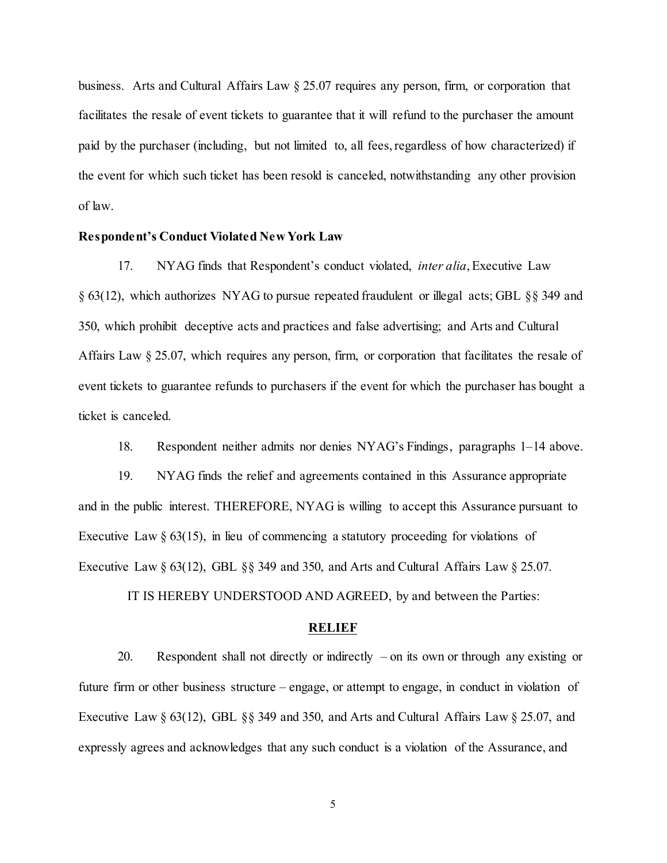business. Arts and Cultural Affairs Law § 25.07 requires any person, firm, or corporation that facilitates the resale of event tickets to guarantee that it will refund to the purchaser the amount paid by the purchaser (including, but not limited to, all fees, regardless of how characterized) if the event for which such ticket has been resold is canceled, notwithstanding any other provision of law.

## **Respondent's Conduct Violated New York Law**

17. NYAG finds that Respondent's conduct violated, *inter alia*, Executive Law § 63(12), which authorizes NYAG to pursue repeated fraudulent or illegal acts; GBL §§ 349 and 350, which prohibit deceptive acts and practices and false advertising; and Arts and Cultural Affairs Law § 25.07, which requires any person, firm, or corporation that facilitates the resale of event tickets to guarantee refunds to purchasers if the event for which the purchaser has bought a ticket is canceled.

18. Respondent neither admits nor denies NYAG's Findings, paragraphs 1–14 above.

19. NYAG finds the relief and agreements contained in this Assurance appropriate and in the public interest. THEREFORE, NYAG is willing to accept this Assurance pursuant to Executive Law  $\S 63(15)$ , in lieu of commencing a statutory proceeding for violations of Executive Law  $\S 63(12)$ , GBL  $\S 8349$  and 350, and Arts and Cultural Affairs Law  $\S 25.07$ .

IT IS HEREBY UNDERSTOOD AND AGREED, by and between the Parties:

#### **RELIEF**

20. Respondent shall not directly or indirectly – on its own or through any existing or future firm or other business structure – engage, or attempt to engage, in conduct in violation of Executive Law § 63(12), GBL §§ 349 and 350, and Arts and Cultural Affairs Law § 25.07, and expressly agrees and acknowledges that any such conduct is a violation of the Assurance, and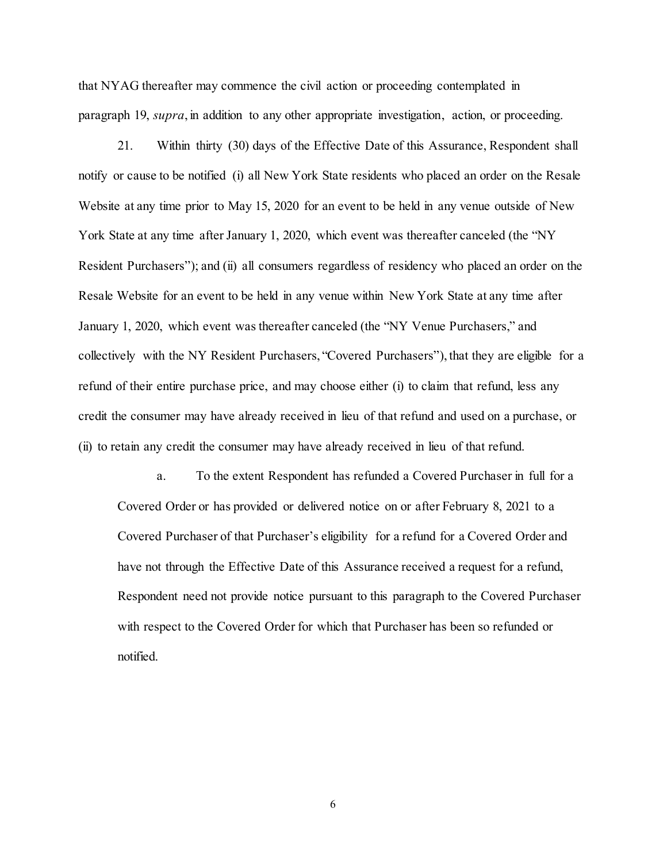that NYAG thereafter may commence the civil action or proceeding contemplated in paragraph 19, *supra*, in addition to any other appropriate investigation, action, or proceeding.

21. Within thirty (30) days of the Effective Date of this Assurance, Respondent shall notify or cause to be notified (i) all New York State residents who placed an order on the Resale Website at any time prior to May 15, 2020 for an event to be held in any venue outside of New York State at any time after January 1, 2020, which event was thereafter canceled (the "NY Resident Purchasers"); and (ii) all consumers regardless of residency who placed an order on the Resale Website for an event to be held in any venue within New York State at any time after January 1, 2020, which event was thereafter canceled (the "NY Venue Purchasers," and collectively with the NY Resident Purchasers, "Covered Purchasers"), that they are eligible for a refund of their entire purchase price, and may choose either (i) to claim that refund, less any credit the consumer may have already received in lieu of that refund and used on a purchase, or (ii) to retain any credit the consumer may have already received in lieu of that refund.

a. To the extent Respondent has refunded a Covered Purchaser in full for a Covered Order or has provided or delivered notice on or after February 8, 2021 to a Covered Purchaser of that Purchaser's eligibility for a refund for a Covered Order and have not through the Effective Date of this Assurance received a request for a refund, Respondent need not provide notice pursuant to this paragraph to the Covered Purchaser with respect to the Covered Order for which that Purchaser has been so refunded or notified.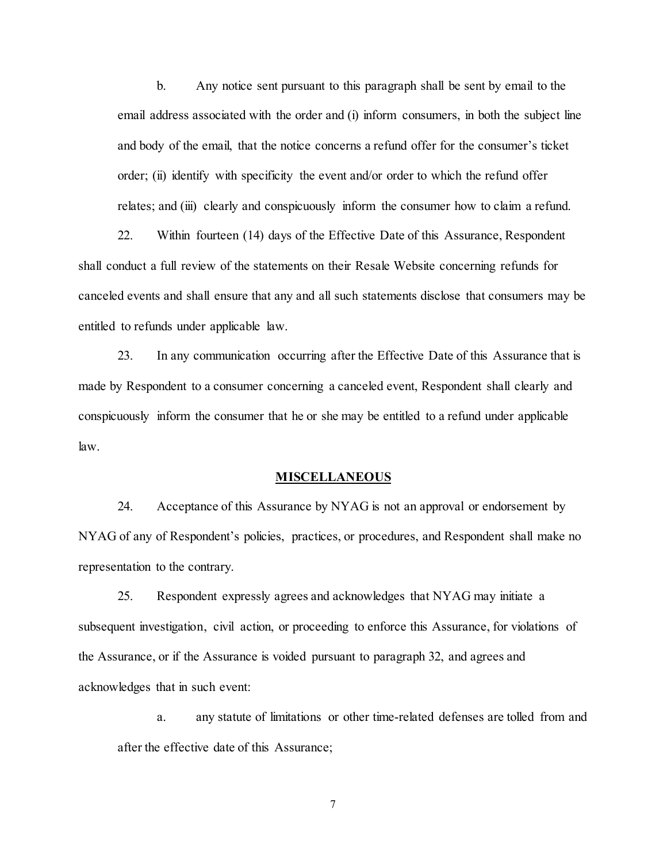b. Any notice sent pursuant to this paragraph shall be sent by email to the email address associated with the order and (i) inform consumers, in both the subject line and body of the email, that the notice concerns a refund offer for the consumer's ticket order; (ii) identify with specificity the event and/or order to which the refund offer relates; and (iii) clearly and conspicuously inform the consumer how to claim a refund.

22. Within fourteen (14) days of the Effective Date of this Assurance, Respondent shall conduct a full review of the statements on their Resale Website concerning refunds for canceled events and shall ensure that any and all such statements disclose that consumers may be entitled to refunds under applicable law.

23. In any communication occurring after the Effective Date of this Assurance that is made by Respondent to a consumer concerning a canceled event, Respondent shall clearly and conspicuously inform the consumer that he or she may be entitled to a refund under applicable law.

#### **MISCELLANEOUS**

24. Acceptance of this Assurance by NYAG is not an approval or endorsement by NYAG of any of Respondent's policies, practices, or procedures, and Respondent shall make no representation to the contrary.

25. Respondent expressly agrees and acknowledges that NYAG may initiate a subsequent investigation, civil action, or proceeding to enforce this Assurance, for violations of the Assurance, or if the Assurance is voided pursuant to paragraph 32, and agrees and acknowledges that in such event:

a. any statute of limitations or other time-related defenses are tolled from and after the effective date of this Assurance;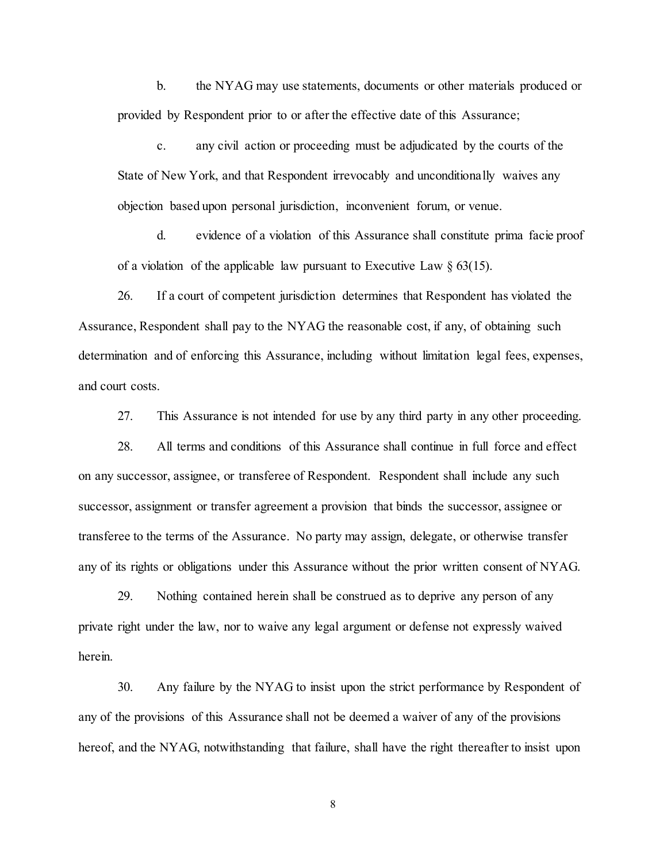b. the NYAG may use statements, documents or other materials produced or provided by Respondent prior to or after the effective date of this Assurance;

c. any civil action or proceeding must be adjudicated by the courts of the State of New York, and that Respondent irrevocably and unconditionally waives any objection based upon personal jurisdiction, inconvenient forum, or venue.

d. evidence of a violation of this Assurance shall constitute prima facie proof of a violation of the applicable law pursuant to Executive Law  $\S$  63(15).

26. If a court of competent jurisdiction determines that Respondent has violated the Assurance, Respondent shall pay to the NYAG the reasonable cost, if any, of obtaining such determination and of enforcing this Assurance, including without limitation legal fees, expenses, and court costs.

27. This Assurance is not intended for use by any third party in any other proceeding.

28. All terms and conditions of this Assurance shall continue in full force and effect on any successor, assignee, or transferee of Respondent. Respondent shall include any such successor, assignment or transfer agreement a provision that binds the successor, assignee or transferee to the terms of the Assurance. No party may assign, delegate, or otherwise transfer any of its rights or obligations under this Assurance without the prior written consent of NYAG.

29. Nothing contained herein shall be construed as to deprive any person of any private right under the law, nor to waive any legal argument or defense not expressly waived herein.

30. Any failure by the NYAG to insist upon the strict performance by Respondent of any of the provisions of this Assurance shall not be deemed a waiver of any of the provisions hereof, and the NYAG, notwithstanding that failure, shall have the right thereafter to insist upon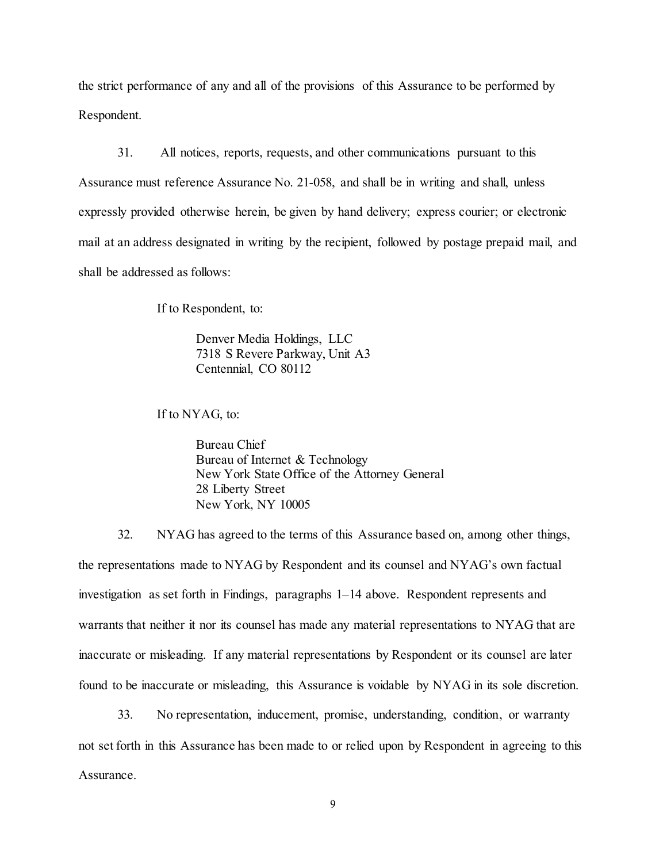the strict performance of any and all of the provisions of this Assurance to be performed by Respondent.

31. All notices, reports, requests, and other communications pursuant to this Assurance must reference Assurance No. 21-058, and shall be in writing and shall, unless expressly provided otherwise herein, be given by hand delivery; express courier; or electronic mail at an address designated in writing by the recipient, followed by postage prepaid mail, and shall be addressed as follows:

If to Respondent, to:

Denver Media Holdings, LLC 7318 S Revere Parkway, Unit A3 Centennial, CO 80112

If to NYAG, to:

Bureau Chief Bureau of Internet & Technology New York State Office of the Attorney General 28 Liberty Street New York, NY 10005

32. NYAG has agreed to the terms of this Assurance based on, among other things, the representations made to NYAG by Respondent and its counsel and NYAG's own factual investigation as set forth in Findings, paragraphs 1–14 above. Respondent represents and warrants that neither it nor its counsel has made any material representations to NYAG that are inaccurate or misleading. If any material representations by Respondent or its counsel are later found to be inaccurate or misleading, this Assurance is voidable by NYAG in its sole discretion.

33. No representation, inducement, promise, understanding, condition, or warranty not set forth in this Assurance has been made to or relied upon by Respondent in agreeing to this Assurance.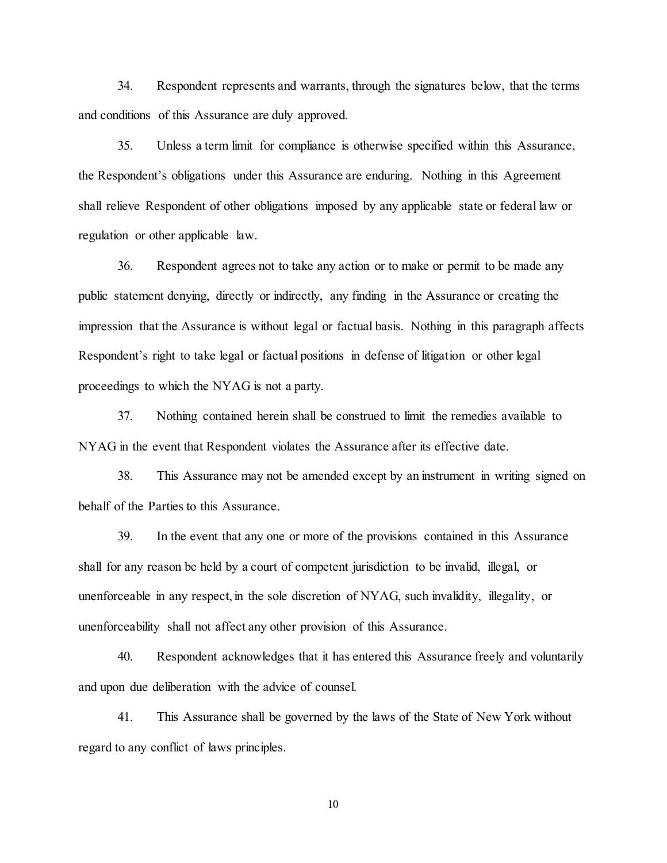34. Respondent represents and warrants, through the signatures below, that the terms and conditions of this Assurance are duly approved.

35. Unless a term limit for compliance is otherwise specified within this Assurance, the Respondent's obligations under this Assurance are enduring. Nothing in this Agreement shall relieve Respondent of other obligations imposed by any applicable state or federal law or regulation or other applicable law.

36. Respondent agrees not to take any action or to make or permit to be made any public statement denying, directly or indirectly, any finding in the Assurance or creating the impression that the Assurance is without legal or factual basis. Nothing in this paragraph affects Respondent's right to take legal or factual positions in defense of litigation or other legal proceedings to which the NYAG is not a party.

37. Nothing contained herein shall be construed to limit the remedies available to NYAG in the event that Respondent violates the Assurance after its effective date.

38. This Assurance may not be amended except by an instrument in writing signed on behalf of the Parties to this Assurance.

39. In the event that any one or more of the provisions contained in this Assurance shall for any reason be held by a court of competent jurisdiction to be invalid, illegal, or unenforceable in any respect, in the sole discretion of NYAG, such invalidity, illegality, or unenforceability shall not affect any other provision of this Assurance.

40. Respondent acknowledges that it has entered this Assurance freely and voluntarily and upon due deliberation with the advice of counsel.

41. This Assurance shall be governed by the laws of the State of New York without regard to any conflict of laws principles.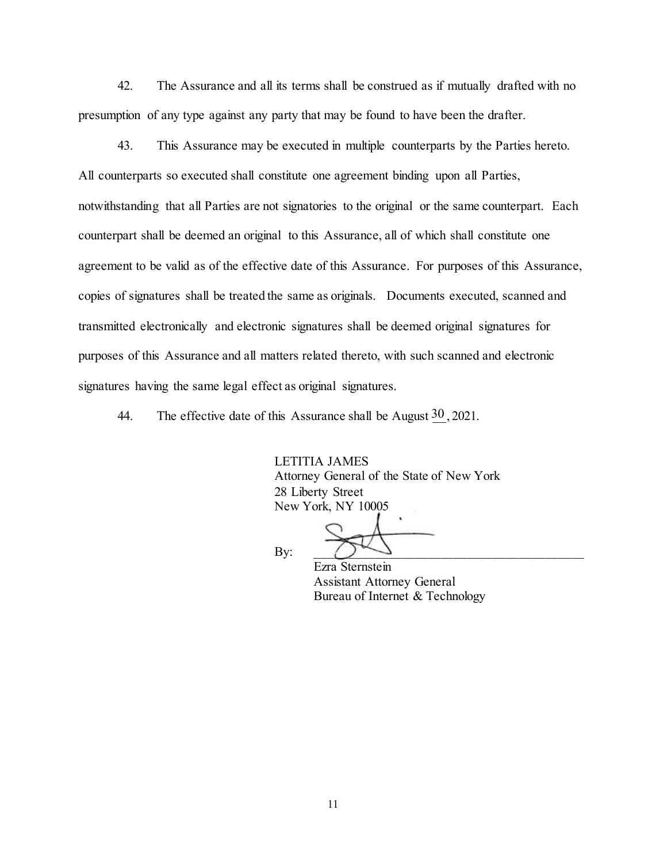42. The Assurance and all its terms shall be construed as if mutually drafted with no presumption of any type against any party that may be found to have been the drafter.

43. This Assurance may be executed in multiple counterparts by the Parties hereto. All counterparts so executed shall constitute one agreement binding upon all Parties, notwithstanding that all Parties are not signatories to the original or the same counterpart. Each counterpart shall be deemed an original to this Assurance, all of which shall constitute one agreement to be valid as of the effective date of this Assurance. For purposes of this Assurance, copies of signatures shall be treated the same as originals. Documents executed, scanned and transmitted electronically and electronic signatures shall be deemed original signatures for purposes of this Assurance and all matters related thereto, with such scanned and electronic signatures having the same legal effect as original signatures.

44. The effective date of this Assurance shall be August  $\frac{30}{20}$ , 2021.

LETITIA JAMES Attorney General of the State of New York 28 Liberty Street New York, NY 10005

By:  $\bigcirc$   $\bigcirc$   $\bigcirc$   $\bigcirc$   $\bigcirc$   $\bigcirc$   $\bigcirc$   $\bigcirc$   $\bigcirc$   $\bigcirc$   $\bigcirc$   $\bigcirc$   $\bigcirc$   $\bigcirc$   $\bigcirc$   $\bigcirc$   $\bigcirc$   $\bigcirc$   $\bigcirc$   $\bigcirc$   $\bigcirc$   $\bigcirc$   $\bigcirc$   $\bigcirc$   $\bigcirc$   $\bigcirc$   $\bigcirc$   $\bigcirc$   $\bigcirc$   $\bigcirc$   $\bigcirc$   $\bigcirc$   $\bigcirc$   $\bigcirc$   $\bigcirc$   $\bigcirc$  Ezra Sternstein

Assistant Attorney General Bureau of Internet & Technology